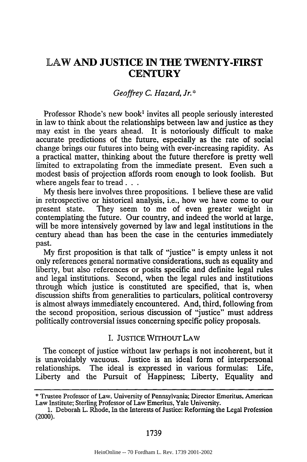# LAW **AND JUSTICE IN THE TWENTY-FIRST CENTURY**

## *Geoffrey C. Hazard, Jr.\**

Professor Rhode's new book' invites all people seriously interested in law to think about the relationships between law and justice as they may exist in the years ahead. It is notoriously difficult to make accurate predictions of the future, especially as the rate of social change brings our futures into being with ever-increasing rapidity. As a practical matter, thinking about the future therefore is pretty well limited to extrapolating from the immediate present. Even such a modest basis of projection affords room enough to look foolish. But where angels fear to tread...

**My** thesis here involves three propositions. **I** believe these are valid in retrospective or historical analysis, i.e., how we have come to our present state. They seem to me of even greater weight in contemplating the future. Our country, and indeed the world at large, will be more intensively governed **by** law and legal institutions in the century ahead than has been the case in the centuries immediately past.

**My** first proposition is that talk of "justice" is empty unless it not only references general normative considerations, such as equality and liberty, but also references or posits specific and definite legal rules and legal institutions. Second, when the legal rules and institutions through which justice is constituted are specified, that is, when discussion shifts from generalities to particulars, political controversy is almost always immediately encountered. And, third, following from the second proposition, serious discussion of "justice" must address politically controversial issues concerning specific policy proposals.

## **I. JUSTICE** WITHOUT LAW

The concept of justice without law perhaps is not incoherent, but it is unavoidably vacuous. Justice is an ideal form of interpersonal relationships. The ideal is expressed in various formulas: Life, Liberty and the Pursuit of Happiness; Liberty, Equality and

**<sup>\*</sup>** Trustee Professor of Law. University of Pennsylvania; Director Emeritus, American Law Institute; Sterling Professor of **Law** Emeritus, Yale University.

**<sup>1.</sup>** Deborah L. Rhode, In the Interests of Justice: Reforming the Legal Profession (2000).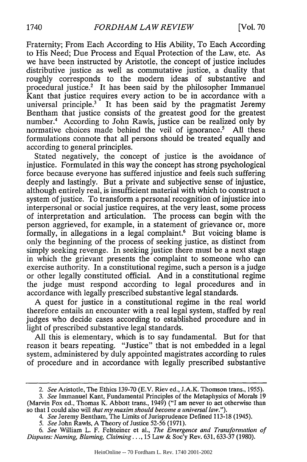Fraternity; From Each According to His Ability, To Each According to His Need; Due Process and Equal Protection of the Law, etc. As we have been instructed by Aristotle, the concept of justice includes distributive justice as well as commutative justice, a duality that roughly corresponds to the modem ideas of substantive and procedural justice.<sup>2</sup> It has been said by the philosopher Immanuel Kant that justice requires every action to be in accordance with a universal principle.<sup>3</sup> It has been said by the pragmatist Jeremy Bentham that justice consists of the greatest good for the greatest number.<sup>4</sup> According to John Rawls, justice can be realized only by normative choices made behind the veil of ignorance.<sup>5</sup> All these formulations connote that all persons should be treated equally and according to general principles.

Stated negatively, the concept of justice is the avoidance of injustice. Formulated in this way the concept has strong psychological force because everyone has suffered injustice and feels such suffering deeply and lastingly. But a private and subjective sense of injustice, although entirely real, is insufficient material with which to construct a system of justice. To transform a personal recognition of injustice into interpersonal or social justice requires, at the very least, some process of interpretation and articulation. The process can begin with the person aggrieved, for example, in a statement of grievance or, more formally, in allegations in a legal complaint.<sup>6</sup> But voicing blame is only the beginning of the process of seeking justice, as distinct from simply seeking revenge. In seeking justice there must be a next stage in which the grievant presents the complaint to someone who can exercise authority. In a constitutional regime, such a person is a judge or other legally constituted official. And in a constitutional regime the judge must respond according to legal procedures and in accordance with legally prescribed substantive legal standards.

A quest for justice in a constitutional regime in the real world therefore entails an encounter with a real legal system, staffed by real judges who decide cases according to established procedure and in light of prescribed substantive legal standards.

All this is elementary, which is to say fundamental. But for that reason it bears repeating. "Justice" that is not embedded in a legal system, administered by duly appointed magistrates according to rules of procedure and in accordance with legally prescribed substantive

*<sup>2.</sup> See* Aristotle, The Ethics 139-70 (E.V. Riev ed., J.A.K. Thomson trans., 1955).

*<sup>3.</sup> See* Immanuel Kant, Fundamental Principles of the Metaphysics of Morals 19 (Marvin Fox ed., Thomas K. Abbott trans., 1949) ("I am never to act otherwise than so that I could also will *that my maxim should become a universal law.").*

*<sup>4.</sup> See* Jeremy Bentham, The Limits of Jurisprudence Defined 113-18 (1945).

*<sup>5.</sup> See* John Rawls, A Theory of Justice 52-56 (1971).

*<sup>6.</sup> See* William L. F. Felsteiner et al., *The Emergence and Transformation of Disputes: Naming, Blaming, Claiming...,* 15 Law & Soc'y Rev. 631, 633-37 (1980).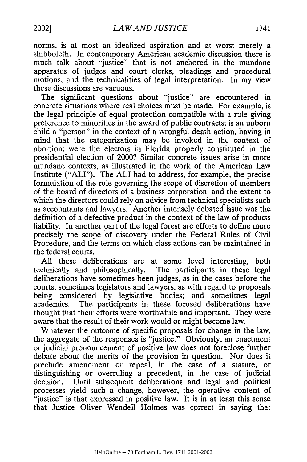norms, is at most an idealized aspiration and at worst merely a shibboleth. In contemporary American academic discussion there is much talk about "justice" that is not anchored in the mundane apparatus of judges and court clerks, pleadings and procedural motions, and the technicalities of legal interpretation. In my view these discussions are vacuous.

The significant questions about "justice" are encountered in concrete situations where real choices must be made. For example, is the legal principle of equal protection compatible with a rule giving preference to minorities in the award of public contracts; is an unborn child a "person" in the context of a wrongful death action, having in mind that the categorization may be invoked in the context of abortion; were the electors in Florida properly constituted in the presidential election of 2000? Similar concrete issues arise in more mundane contexts, as illustrated in the work of the American Law Institute ("ALI"). The ALI had to address, for example, the precise formulation of the rule governing the scope of discretion of members of the board of directors of a business corporation, and the extent to which the directors could rely on advice from technical specialists such as accountants and lawyers. Another intensely debated issue was the definition of a defective product in the context of the law of products liability. In another part of the legal forest are efforts to define more precisely the scope of discovery under the Federal Rules of Civil Procedure, and the terms on which class actions can be maintained in the federal courts.

All these deliberations are at some level interesting, both technically and philosophically. The participants in these legal deliberations have sometimes been judges, as in the cases before the courts; sometimes legislators and lawyers, as with regard to proposals being considered by legislative bodies; and sometimes legal academics. The participants in these focused deliberations have thought that their efforts were worthwhile and important. They were aware that the result of their work would or might become law.

Whatever the outcome of specific proposals for change in the law, the aggregate of the responses is "justice." Obviously, an enactment or judicial pronouncement of positive law does not foreclose further debate about the merits of the provision in question. Nor does it preclude amendment or repeal, in the case of a statute, or distinguishing or overruling a precedent, in the case of judicial decision. Until subsequent deliberations and legal and political processes yield such a change, however, the operative content of "justice" is that expressed in positive law. It is in at least this sense that Justice Oliver Wendell Holmes was correct in saying that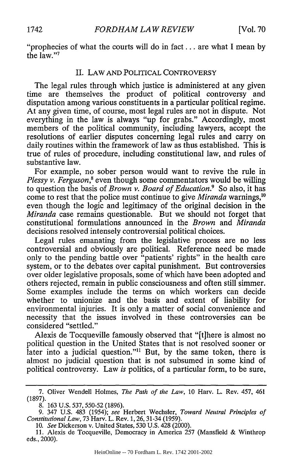"prophecies of what the courts will do in fact. .. are what I mean by the law."7

### II. LAW AND POLITICAL CONTROVERSY

The legal rules through which justice is administered at any given time are themselves the product of political controversy and disputation among various constituents in a particular political regime. At any given time, of course, most legal rules are not in dispute. Not everything in the law is always "up for grabs." Accordingly, most members of the political community, including lawyers, accept the resolutions of earlier disputes concerning legal rules and carry on daily routines within the framework of law as thus established. This is true of rules of procedure, including constitutional law, and rules of substantive law.

For example, no sober person would want to revive the rule in *Plessy v. Ferguson*,<sup>8</sup> even though some commentators would be willing to question the basis of *Brown v. Board of Education.9* So also, it has come to rest that the police must continue to give *Miranda* warnings,"0 even though the logic and legitimacy of the original decision in the *Miranda* case remains questionable. But we should not forget that constitutional formulations announced in the *Brown* and *Miranda* decisions resolved intensely controversial political choices.

Legal rules emanating from the legislative process are no less controversial and obviously are political. Reference need be made only to the pending battle over "patients' rights" in the health care system, or to the debates over capital punishment. But controversies over older legislative proposals, some of which have been adopted and others rejected, remain in public consciousness and often still simmer. Some examples include the terms on which workers can decide whether to unionize and the basis and extent of liability for environmental injuries. It is only a matter of social convenience and necessity that the issues involved in these controversies can be considered "settled."

Alexis de Tocqueville famously observed that "[tjhere is almost no political question in the United States that is not resolved sooner or later into a judicial question."<sup>11</sup> But, by the same token, there is almost no judicial question that is not subsumed in some kind of political controversy. Law *is* politics, of a particular form, to be sure,

<sup>7.</sup> Oliver Wendell Holmes, *The Path of the Law,* 10 Harv. L. Rev. 457, 461 (1897).

<sup>8. 163</sup> U.S. 537, 550-52 (1896).

<sup>9. 347</sup> U.S. 483 (1954); *see* Herbert Wechsler, *Toward Neutral Principles of Constitutional Law,* 73 Harv. L. Rev. 1, 26,31-34 (1959).

<sup>10.</sup> *See* Dickerson v. United States, 530 U.S. 428 (2000).

<sup>11.</sup> Alexis de Tocqueville, Democracy in America 257 (Mansfield & Winthrop eds., 2000).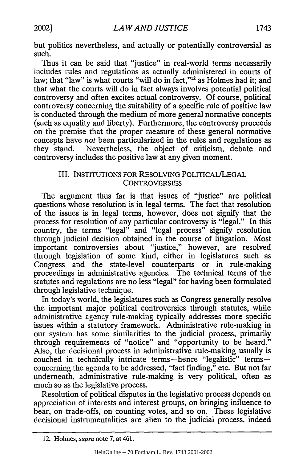but politics nevertheless, and actually or potentially controversial as such.

Thus it can be said that "justice" in real-world terms necessarily includes rules and regulations as actually administered in courts of law; that "law" is what courts "will do in fact,"<sup>12</sup> as Holmes had it; and that what the courts will do in fact always involves potential political controversy and often excites actual controversy. Of course, political controversy concerning the suitability of a specific rule of positive law is conducted through the medium of more general normative concepts (such as equality and liberty). Furthermore, the controversy proceeds on the premise that the proper measure of these general normative concepts have *not* been particularized in the rules and regulations as they stand. Nevertheless, the object of criticism, debate and controversy includes the positive law at any given moment.

## Ill. INSTITUTIONS FOR RESOLVING POLITICAL/LEGAL **CONTROVERSIES**

The argument thus far is that issues of "justice" are political questions whose resolution is in legal terms. The fact that resolution of the issues is in legal terms, however, does not signify that the process for resolution of any particular controversy is "legal." In this country, the terms "legal" and "legal process" signify resolution through judicial decision obtained in the course of litigation. Most important controversies about "justice," however, are resolved through legislation of some kind, either in legislatures such as Congress and the state-level counterparts or in rule-making proceedings in administrative agencies. The technical terms of the statutes and regulations are no less "legal" for having been formulated through legislative technique.

In today's world, the legislatures such as Congress generally resolve the important major political controversies through statutes, while administrative agency rule-making typically addresses more specific issues within a statutory framework. Administrative rule-making in our system has some similarities to the judicial process, primarily through requirements of "notice" and "opportunity to be heard." Also, the decisional process in administrative rule-making usually is couched in technically intricate terms-hence "legalistic" termsconcerning the agenda to be addressed, "fact finding," etc. But not far underneath, administrative rule-making is very political, often as much so as the legislative process.

Resolution of political disputes in the legislative process depends on appreciation of interests and interest groups, on bringing influence to bear, on trade-offs, on counting votes, and so on. These legislative decisional instrumentalities are alien to the judicial process, indeed

<sup>12.</sup> Holmes, *supra* note 7, at 461.